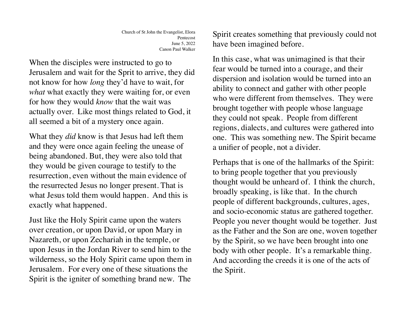When the disciples were instructed to go to Jerusalem and wait for the Sprit to arrive, they did not know for how *long* they'd have to wait, for *what* what exactly they were waiting for, or even for how they would *know* that the wait was actually over. Like most things related to God, it all seemed a bit of a mystery once again.

What they *did* know is that Jesus had left them and they were once again feeling the unease of being abandoned. But, they were also told that they would be given courage to testify to the resurrection, even without the main evidence of the resurrected Jesus no longer present. That is what Jesus told them would happen. And this is exactly what happened.

Just like the Holy Spirit came upon the waters over creation, or upon David, or upon Mary in Nazareth, or upon Zechariah in the temple, or upon Jesus in the Jordan River to send him to the wilderness, so the Holy Spirit came upon them in Jerusalem. For every one of these situations the Spirit is the igniter of something brand new. The

Spirit creates something that previously could not have been imagined before.

In this case, what was unimagined is that their fear would be turned into a courage, and their dispersion and isolation would be turned into an ability to connect and gather with other people who were different from themselves. They were brought together with people whose language they could not speak. People from different regions, dialects, and cultures were gathered into one. This was something new. The Spirit became a unifier of people, not a divider.

Perhaps that is one of the hallmarks of the Spirit: to bring people together that you previously thought would be unheard of. I think the church, broadly speaking, is like that. In the church people of different backgrounds, cultures, ages, and socio-economic status are gathered together. People you never thought would be together. Just as the Father and the Son are one, woven together by the Spirit, so we have been brought into one body with other people. It's a remarkable thing. And according the creeds it is one of the acts of the Spirit.